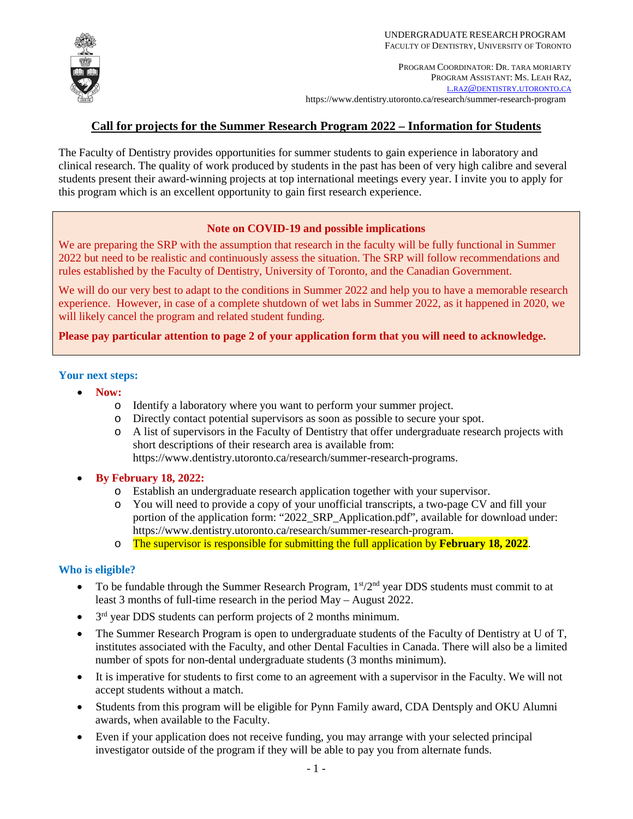

# **Call for projects for the Summer Research Program 2022 – Information for Students**

The Faculty of Dentistry provides opportunities for summer students to gain experience in laboratory and clinical research. The quality of work produced by students in the past has been of very high calibre and several students present their award-winning projects at top international meetings every year. I invite you to apply for this program which is an excellent opportunity to gain first research experience.

#### **Note on COVID-19 and possible implications**

We are preparing the SRP with the assumption that research in the faculty will be fully functional in Summer 2022 but need to be realistic and continuously assess the situation. The SRP will follow recommendations and rules established by the Faculty of Dentistry, University of Toronto, and the Canadian Government.

We will do our very best to adapt to the conditions in Summer 2022 and help you to have a memorable research experience. However, in case of a complete shutdown of wet labs in Summer 2022, as it happened in 2020, we will likely cancel the program and related student funding.

**Please pay particular attention to page 2 of your application form that you will need to acknowledge.**

#### **Your next steps:**

- **Now:**
	- o Identify a laboratory where you want to perform your summer project.
	- o Directly contact potential supervisors as soon as possible to secure your spot.
	- o A list of supervisors in the Faculty of Dentistry that offer undergraduate research projects with short descriptions of their research area is available from: https://www.dentistry.utoronto.ca/research/summer-research-programs.
- **By February 18, 2022:**
	- o Establish an undergraduate research application together with your supervisor.
	- o You will need to provide a copy of your unofficial transcripts, a two-page CV and fill your portion of the application form: "2022\_SRP\_Application.pdf", available for download under: [https://www.dentistry.utoronto.ca/research/summer-research-program.](https://www.dentistry.utoronto.ca/research/summer-research-program)
	- o The supervisor is responsible for submitting the full application by **February 18, 2022**.

#### **Who is eligible?**

- To be fundable through the Summer Research Program,  $1<sup>st</sup>/2<sup>nd</sup>$  year DDS students must commit to at least 3 months of full-time research in the period May – August 2022.
- $\bullet$  3<sup>rd</sup> year DDS students can perform projects of 2 months minimum.
- The Summer Research Program is open to undergraduate students of the Faculty of Dentistry at U of T, institutes associated with the Faculty, and other Dental Faculties in Canada. There will also be a limited number of spots for non-dental undergraduate students (3 months minimum).
- It is imperative for students to first come to an agreement with a supervisor in the Faculty. We will not accept students without a match.
- Students from this program will be eligible for Pynn Family award, CDA Dentsply and OKU Alumni awards, when available to the Faculty.
- Even if your application does not receive funding, you may arrange with your selected principal investigator outside of the program if they will be able to pay you from alternate funds.